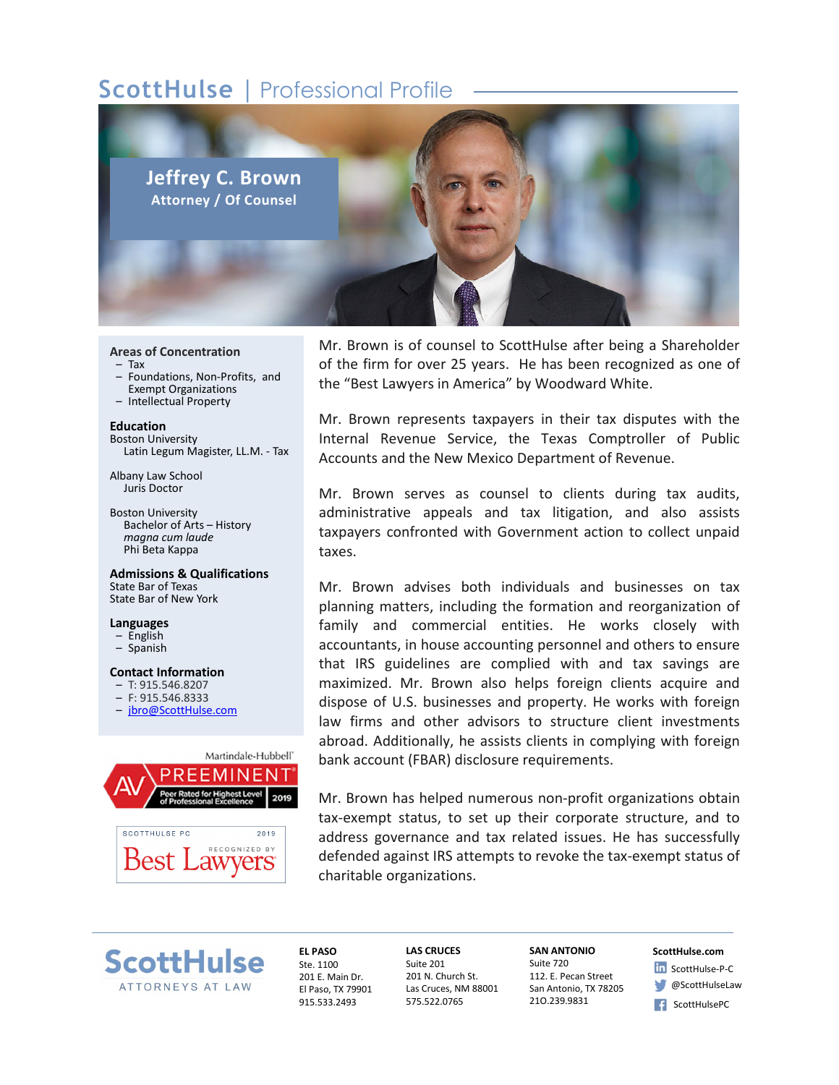# **ScottHulse** | Professional Profile



### **Areas of Concentration**

- Tax
- Foundations, Non-Profits, and Exempt Organizations
- Intellectual Property

**Education** Boston University Latin Legum Magister, LL.M. - Tax

Albany Law School Juris Doctor

Boston University Bachelor of Arts – History *magna cum laude* Phi Beta Kappa

**Admissions & Qualifications** State Bar of Texas State Bar of New York

#### **Languages**

- English
- Spanish

#### **Contact Information**

- T: 915.546.8207
- F: 915.546.8333
- jbro@ScottHulse.com



Mr. Brown is of counsel to ScottHulse after being a Shareholder of the firm for over 25 years. He has been recognized as one of the "Best Lawyers in America" by Woodward White.

Mr. Brown represents taxpayers in their tax disputes with the Internal Revenue Service, the Texas Comptroller of Public Accounts and the New Mexico Department of Revenue.

Mr. Brown serves as counsel to clients during tax audits, administrative appeals and tax litigation, and also assists taxpayers confronted with Government action to collect unpaid taxes.

Mr. Brown advises both individuals and businesses on tax planning matters, including the formation and reorganization of family and commercial entities. He works closely with accountants, in house accounting personnel and others to ensure that IRS guidelines are complied with and tax savings are maximized. Mr. Brown also helps foreign clients acquire and dispose of U.S. businesses and property. He works with foreign law firms and other advisors to structure client investments abroad. Additionally, he assists clients in complying with foreign bank account (FBAR) disclosure requirements.

Mr. Brown has helped numerous non-profit organizations obtain tax-exempt status, to set up their corporate structure, and to address governance and tax related issues. He has successfully defended against IRS attempts to revoke the tax-exempt status of charitable organizations.



**EL PASO** Ste. 1100 201 E. Main Dr. El Paso, TX 79901 915.533.2493

**LAS CRUCES** Suite 201 201 N. Church St. Las Cruces, NM 88001 575.522.0765

**SAN ANTONIO** Suite 720 112. E. Pecan Street San Antonio, TX 78205 21O.239.9831

## **ScottHulse.com**

- In ScottHulse-P-C **@ScottHulseLaw**
- ScottHulsePC